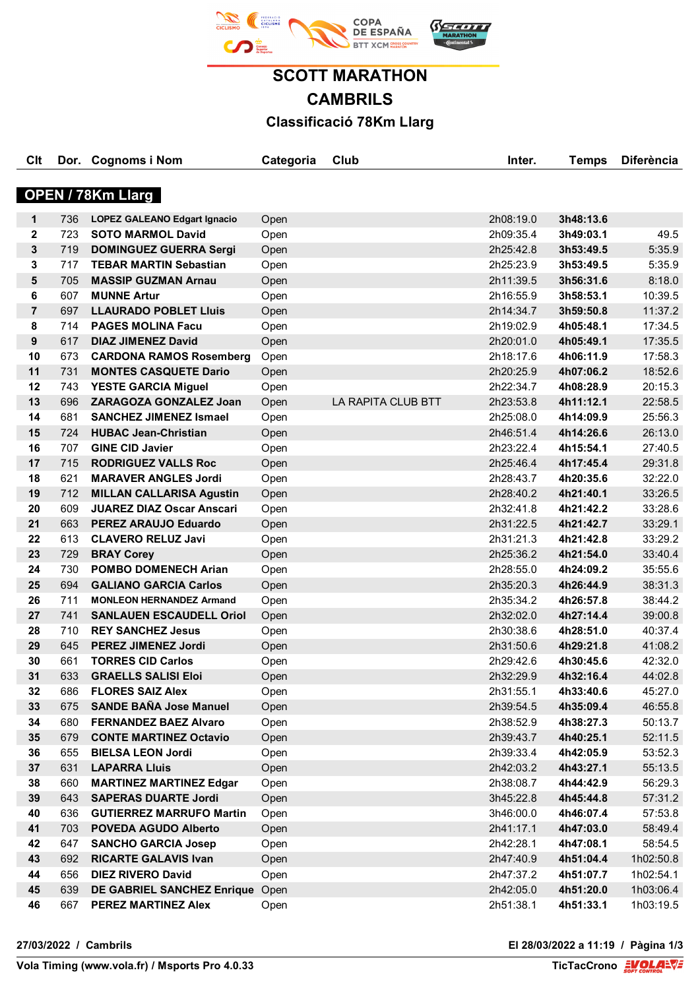

## **SCOTT MARATHON CAMBRILS Classificació 78Km Llarg**

| Clt               |     | Dor. Cognoms i Nom                  | Categoria | Club               | Inter.    | <b>Temps</b> | <b>Diferència</b> |  |  |
|-------------------|-----|-------------------------------------|-----------|--------------------|-----------|--------------|-------------------|--|--|
|                   |     |                                     |           |                    |           |              |                   |  |  |
| OPEN / 78Km Llarg |     |                                     |           |                    |           |              |                   |  |  |
| $\mathbf 1$       | 736 | <b>LOPEZ GALEANO Edgart Ignacio</b> | Open      |                    | 2h08:19.0 | 3h48:13.6    |                   |  |  |
| $\mathbf{2}$      | 723 | <b>SOTO MARMOL David</b>            | Open      |                    | 2h09:35.4 | 3h49:03.1    | 49.5              |  |  |
| $\mathbf{3}$      | 719 | <b>DOMINGUEZ GUERRA Sergi</b>       | Open      |                    | 2h25:42.8 | 3h53:49.5    | 5:35.9            |  |  |
| 3                 | 717 | <b>TEBAR MARTIN Sebastian</b>       | Open      |                    | 2h25:23.9 | 3h53:49.5    | 5:35.9            |  |  |
| $5\phantom{1}$    | 705 | <b>MASSIP GUZMAN Arnau</b>          | Open      |                    | 2h11:39.5 | 3h56:31.6    | 8:18.0            |  |  |
| 6                 | 607 | <b>MUNNE Artur</b>                  | Open      |                    | 2h16:55.9 | 3h58:53.1    | 10:39.5           |  |  |
| $\overline{7}$    | 697 | <b>LLAURADO POBLET Lluis</b>        | Open      |                    | 2h14:34.7 | 3h59:50.8    | 11:37.2           |  |  |
| 8                 | 714 | <b>PAGES MOLINA Facu</b>            | Open      |                    | 2h19:02.9 | 4h05:48.1    | 17:34.5           |  |  |
| 9                 | 617 | <b>DIAZ JIMENEZ David</b>           | Open      |                    | 2h20:01.0 | 4h05:49.1    | 17:35.5           |  |  |
| 10                | 673 | <b>CARDONA RAMOS Rosemberg</b>      | Open      |                    | 2h18:17.6 | 4h06:11.9    | 17:58.3           |  |  |
| 11                | 731 | <b>MONTES CASQUETE Dario</b>        | Open      |                    | 2h20:25.9 | 4h07:06.2    | 18:52.6           |  |  |
| 12                | 743 | <b>YESTE GARCIA Miguel</b>          | Open      |                    | 2h22:34.7 | 4h08:28.9    | 20:15.3           |  |  |
| 13                | 696 | ZARAGOZA GONZALEZ Joan              | Open      | LA RAPITA CLUB BTT | 2h23:53.8 | 4h11:12.1    | 22:58.5           |  |  |
| 14                | 681 | <b>SANCHEZ JIMENEZ Ismael</b>       | Open      |                    | 2h25:08.0 | 4h14:09.9    | 25:56.3           |  |  |
| 15                | 724 | <b>HUBAC Jean-Christian</b>         | Open      |                    | 2h46:51.4 | 4h14:26.6    | 26:13.0           |  |  |
| 16                | 707 | <b>GINE CID Javier</b>              | Open      |                    | 2h23:22.4 | 4h15:54.1    | 27:40.5           |  |  |
| 17                | 715 | <b>RODRIGUEZ VALLS Roc</b>          | Open      |                    | 2h25:46.4 | 4h17:45.4    | 29:31.8           |  |  |
| 18                | 621 | <b>MARAVER ANGLES Jordi</b>         | Open      |                    | 2h28:43.7 | 4h20:35.6    | 32:22.0           |  |  |
| 19                | 712 | <b>MILLAN CALLARISA Agustin</b>     | Open      |                    | 2h28:40.2 | 4h21:40.1    | 33:26.5           |  |  |
| 20                | 609 | <b>JUAREZ DIAZ Oscar Anscari</b>    | Open      |                    | 2h32:41.8 | 4h21:42.2    | 33:28.6           |  |  |
| 21                | 663 | <b>PEREZ ARAUJO Eduardo</b>         | Open      |                    | 2h31:22.5 | 4h21:42.7    | 33:29.1           |  |  |
| 22                | 613 | <b>CLAVERO RELUZ Javi</b>           | Open      |                    | 2h31:21.3 | 4h21:42.8    | 33:29.2           |  |  |
| 23                | 729 | <b>BRAY Corey</b>                   | Open      |                    | 2h25:36.2 | 4h21:54.0    | 33:40.4           |  |  |
| 24                | 730 | <b>POMBO DOMENECH Arian</b>         | Open      |                    | 2h28:55.0 | 4h24:09.2    | 35:55.6           |  |  |
| 25                | 694 | <b>GALIANO GARCIA Carlos</b>        | Open      |                    | 2h35:20.3 | 4h26:44.9    | 38:31.3           |  |  |
| 26                | 711 | <b>MONLEON HERNANDEZ Armand</b>     | Open      |                    | 2h35:34.2 | 4h26:57.8    | 38:44.2           |  |  |
| 27                | 741 | <b>SANLAUEN ESCAUDELL Oriol</b>     | Open      |                    | 2h32:02.0 | 4h27:14.4    | 39:00.8           |  |  |
| 28                | 710 | <b>REY SANCHEZ Jesus</b>            | Open      |                    | 2h30:38.6 | 4h28:51.0    | 40:37.4           |  |  |
| 29                | 645 | <b>PEREZ JIMENEZ Jordi</b>          | Open      |                    | 2h31:50.6 | 4h29:21.8    | 41:08.2           |  |  |
| 30                | 661 | <b>TORRES CID Carlos</b>            | Open      |                    | 2h29:42.6 | 4h30:45.6    | 42:32.0           |  |  |
| 31                | 633 | <b>GRAELLS SALISI Eloi</b>          | Open      |                    | 2h32:29.9 | 4h32:16.4    | 44:02.8           |  |  |
| 32                | 686 | <b>FLORES SAIZ Alex</b>             | Open      |                    | 2h31:55.1 | 4h33:40.6    | 45:27.0           |  |  |
| 33                | 675 | <b>SANDE BAÑA Jose Manuel</b>       | Open      |                    | 2h39:54.5 | 4h35:09.4    | 46:55.8           |  |  |
| 34                | 680 | <b>FERNANDEZ BAEZ Alvaro</b>        | Open      |                    | 2h38:52.9 | 4h38:27.3    | 50:13.7           |  |  |
| 35                | 679 | <b>CONTE MARTINEZ Octavio</b>       | Open      |                    | 2h39:43.7 | 4h40:25.1    | 52:11.5           |  |  |
| 36                | 655 | <b>BIELSA LEON Jordi</b>            | Open      |                    | 2h39:33.4 | 4h42:05.9    | 53:52.3           |  |  |
| 37                | 631 | <b>LAPARRA Lluis</b>                | Open      |                    | 2h42:03.2 | 4h43:27.1    | 55:13.5           |  |  |
| 38                | 660 | <b>MARTINEZ MARTINEZ Edgar</b>      | Open      |                    | 2h38:08.7 | 4h44:42.9    | 56:29.3           |  |  |
| 39                | 643 | <b>SAPERAS DUARTE Jordi</b>         | Open      |                    | 3h45:22.8 | 4h45:44.8    | 57:31.2           |  |  |
| 40                | 636 | <b>GUTIERREZ MARRUFO Martin</b>     | Open      |                    | 3h46:00.0 | 4h46:07.4    | 57:53.8           |  |  |
| 41                | 703 | <b>POVEDA AGUDO Alberto</b>         | Open      |                    | 2h41:17.1 | 4h47:03.0    | 58:49.4           |  |  |
| 42                | 647 | <b>SANCHO GARCIA Josep</b>          | Open      |                    | 2h42:28.1 | 4h47:08.1    | 58:54.5           |  |  |
| 43                | 692 | <b>RICARTE GALAVIS Ivan</b>         | Open      |                    | 2h47:40.9 | 4h51:04.4    | 1h02:50.8         |  |  |
| 44                | 656 | <b>DIEZ RIVERO David</b>            | Open      |                    | 2h47:37.2 | 4h51:07.7    | 1h02:54.1         |  |  |
| 45                | 639 | <b>DE GABRIEL SANCHEZ Enrique</b>   | Open      |                    | 2h42:05.0 | 4h51:20.0    | 1h03:06.4         |  |  |
| 46                | 667 | PEREZ MARTINEZ Alex                 | Open      |                    | 2h51:38.1 | 4h51:33.1    | 1h03:19.5         |  |  |

**27/03/2022 / Cambrils El 28/03/2022 a 11:19 / Pàgina 1/3**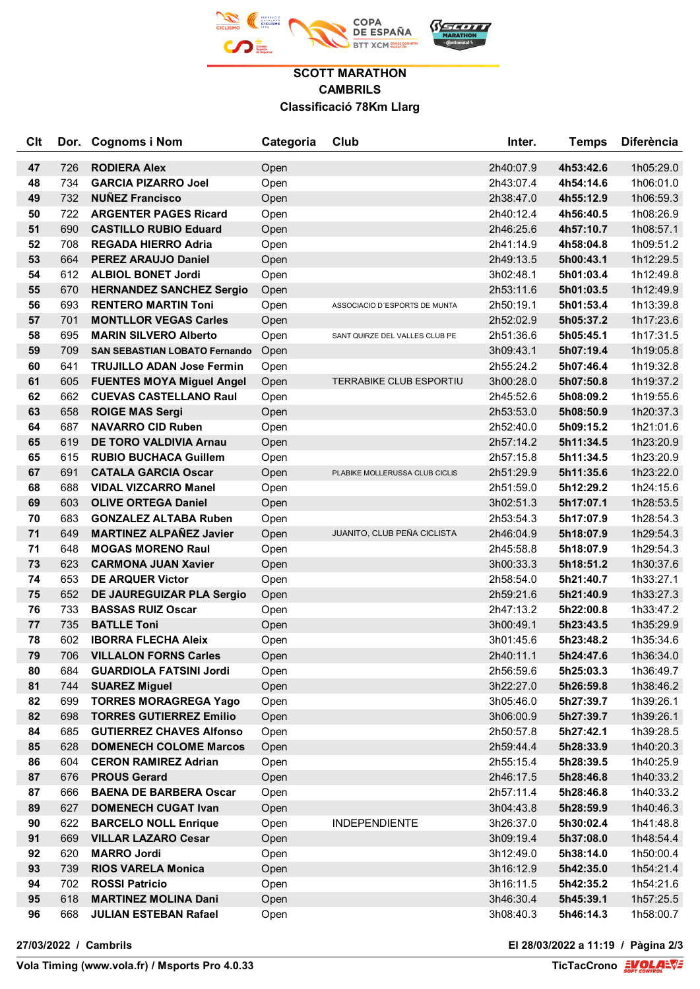

## **SCOTT MARATHON CAMBRILS Classificació 78Km Llarg**

| <b>C<sub>It</sub></b> |            | Dor. Cognoms i Nom                   | Categoria    | Club                           | Inter.                 | <b>Temps</b>           | <b>Diferència</b>      |
|-----------------------|------------|--------------------------------------|--------------|--------------------------------|------------------------|------------------------|------------------------|
|                       |            | <b>RODIERA Alex</b>                  |              |                                |                        |                        |                        |
| 47<br>48              | 726<br>734 | <b>GARCIA PIZARRO Joel</b>           | Open         |                                | 2h40:07.9<br>2h43:07.4 | 4h53:42.6<br>4h54:14.6 | 1h05:29.0<br>1h06:01.0 |
| 49                    | 732        | <b>NUÑEZ Francisco</b>               | Open         |                                | 2h38:47.0              | 4h55:12.9              | 1h06:59.3              |
| 50                    | 722        | <b>ARGENTER PAGES Ricard</b>         | Open<br>Open |                                | 2h40:12.4              | 4h56:40.5              | 1h08:26.9              |
| 51                    | 690        | <b>CASTILLO RUBIO Eduard</b>         | Open         |                                | 2h46:25.6              | 4h57:10.7              | 1h08:57.1              |
| 52                    | 708        | <b>REGADA HIERRO Adria</b>           | Open         |                                | 2h41:14.9              | 4h58:04.8              | 1h09:51.2              |
| 53                    | 664        | <b>PEREZ ARAUJO Daniel</b>           | Open         |                                | 2h49:13.5              | 5h00:43.1              | 1h12:29.5              |
| 54                    | 612        | <b>ALBIOL BONET Jordi</b>            | Open         |                                | 3h02:48.1              | 5h01:03.4              | 1h12:49.8              |
| 55                    | 670        | <b>HERNANDEZ SANCHEZ Sergio</b>      | Open         |                                | 2h53:11.6              | 5h01:03.5              | 1h12:49.9              |
| 56                    | 693        | <b>RENTERO MARTIN Toni</b>           | Open         | ASSOCIACIO D'ESPORTS DE MUNTA  | 2h50:19.1              | 5h01:53.4              | 1h13:39.8              |
| 57                    | 701        | <b>MONTLLOR VEGAS Carles</b>         | Open         |                                | 2h52:02.9              | 5h05:37.2              | 1h17:23.6              |
| 58                    | 695        | <b>MARIN SILVERO Alberto</b>         | Open         | SANT QUIRZE DEL VALLES CLUB PE | 2h51:36.6              | 5h05:45.1              | 1h17:31.5              |
| 59                    | 709        | <b>SAN SEBASTIAN LOBATO Fernando</b> | Open         |                                | 3h09:43.1              | 5h07:19.4              | 1h19:05.8              |
| 60                    | 641        | <b>TRUJILLO ADAN Jose Fermin</b>     | Open         |                                | 2h55:24.2              | 5h07:46.4              | 1h19:32.8              |
| 61                    | 605        | <b>FUENTES MOYA Miguel Angel</b>     | Open         | TERRABIKE CLUB ESPORTIU        | 3h00:28.0              | 5h07:50.8              | 1h19:37.2              |
| 62                    | 662        | <b>CUEVAS CASTELLANO Raul</b>        | Open         |                                | 2h45:52.6              | 5h08:09.2              | 1h19:55.6              |
| 63                    | 658        | <b>ROIGE MAS Sergi</b>               | Open         |                                | 2h53:53.0              | 5h08:50.9              | 1h20:37.3              |
| 64                    | 687        | <b>NAVARRO CID Ruben</b>             | Open         |                                | 2h52:40.0              | 5h09:15.2              | 1h21:01.6              |
| 65                    | 619        | <b>DE TORO VALDIVIA Arnau</b>        | Open         |                                | 2h57:14.2              | 5h11:34.5              | 1h23:20.9              |
| 65                    | 615        | <b>RUBIO BUCHACA Guillem</b>         | Open         |                                | 2h57:15.8              | 5h11:34.5              | 1h23:20.9              |
| 67                    | 691        | <b>CATALA GARCIA Oscar</b>           | Open         | PLABIKE MOLLERUSSA CLUB CICLIS | 2h51:29.9              | 5h11:35.6              | 1h23:22.0              |
| 68                    | 688        | <b>VIDAL VIZCARRO Manel</b>          | Open         |                                | 2h51:59.0              | 5h12:29.2              | 1h24:15.6              |
| 69                    | 603        | <b>OLIVE ORTEGA Daniel</b>           | Open         |                                | 3h02:51.3              | 5h17:07.1              | 1h28:53.5              |
| 70                    | 683        | <b>GONZALEZ ALTABA Ruben</b>         | Open         |                                | 2h53:54.3              | 5h17:07.9              | 1h28:54.3              |
| 71                    | 649        | <b>MARTINEZ ALPAÑEZ Javier</b>       | Open         | JUANITO, CLUB PEÑA CICLISTA    | 2h46:04.9              | 5h18:07.9              | 1h29:54.3              |
| 71                    | 648        | <b>MOGAS MORENO Raul</b>             | Open         |                                | 2h45:58.8              | 5h18:07.9              | 1h29:54.3              |
| 73                    | 623        | <b>CARMONA JUAN Xavier</b>           | Open         |                                | 3h00:33.3              | 5h18:51.2              | 1h30:37.6              |
| 74                    | 653        | <b>DE ARQUER Victor</b>              | Open         |                                | 2h58:54.0              | 5h21:40.7              | 1h33:27.1              |
| 75                    | 652        | DE JAUREGUIZAR PLA Sergio            | Open         |                                | 2h59:21.6              | 5h21:40.9              | 1h33:27.3              |
| 76                    | 733        | <b>BASSAS RUIZ Oscar</b>             | Open         |                                | 2h47:13.2              | 5h22:00.8              | 1h33:47.2              |
| 77                    | 735        | <b>BATLLE Toni</b>                   | Open         |                                | 3h00:49.1              | 5h23:43.5              | 1h35:29.9              |
| 78                    | 602        | <b>IBORRA FLECHA Aleix</b>           | Open         |                                | 3h01:45.6              | 5h23:48.2              | 1h35:34.6              |
| 79                    | 706        | <b>VILLALON FORNS Carles</b>         | Open         |                                | 2h40:11.1              | 5h24:47.6              | 1h36:34.0              |
| 80                    | 684        | <b>GUARDIOLA FATSINI Jordi</b>       | Open         |                                | 2h56:59.6              | 5h25:03.3              | 1h36:49.7              |
| 81                    | 744        | <b>SUAREZ Miguel</b>                 | Open         |                                | 3h22:27.0              | 5h26:59.8              | 1h38:46.2              |
| 82                    | 699        | <b>TORRES MORAGREGA Yago</b>         | Open         |                                | 3h05:46.0              | 5h27:39.7              | 1h39:26.1              |
| 82                    | 698        | <b>TORRES GUTIERREZ Emilio</b>       | Open         |                                | 3h06:00.9              | 5h27:39.7              | 1h39:26.1              |
| 84                    | 685        | <b>GUTIERREZ CHAVES Alfonso</b>      | Open         |                                | 2h50:57.8              | 5h27:42.1              | 1h39:28.5              |
| 85                    | 628        | <b>DOMENECH COLOME Marcos</b>        | Open         |                                | 2h59:44.4              | 5h28:33.9              | 1h40:20.3              |
| 86                    | 604        | <b>CERON RAMIREZ Adrian</b>          | Open         |                                | 2h55:15.4              | 5h28:39.5              | 1h40:25.9              |
| 87                    | 676        | <b>PROUS Gerard</b>                  | Open         |                                | 2h46:17.5              | 5h28:46.8              | 1h40:33.2              |
| 87                    | 666        | <b>BAENA DE BARBERA Oscar</b>        | Open         |                                | 2h57:11.4              | 5h28:46.8              | 1h40:33.2              |
| 89                    | 627        | <b>DOMENECH CUGAT Ivan</b>           | Open         |                                | 3h04:43.8              | 5h28:59.9              | 1h40:46.3              |
| 90                    | 622        | <b>BARCELO NOLL Enrique</b>          | Open         | <b>INDEPENDIENTE</b>           | 3h26:37.0              | 5h30:02.4              | 1h41:48.8              |
| 91                    | 669        | <b>VILLAR LAZARO Cesar</b>           | Open         |                                | 3h09:19.4              | 5h37:08.0              | 1h48:54.4              |
| 92                    | 620        | <b>MARRO Jordi</b>                   | Open         |                                | 3h12:49.0              | 5h38:14.0              | 1h50:00.4              |
| 93                    | 739        | <b>RIOS VARELA Monica</b>            | Open         |                                | 3h16:12.9              | 5h42:35.0              | 1h54:21.4              |
| 94                    | 702        | <b>ROSSI Patricio</b>                | Open         |                                | 3h16:11.5              | 5h42:35.2              | 1h54:21.6              |
| 95                    | 618        | <b>MARTINEZ MOLINA Dani</b>          | Open         |                                | 3h46:30.4              | 5h45:39.1              | 1h57:25.5              |
| 96                    | 668        | <b>JULIAN ESTEBAN Rafael</b>         | Open         |                                | 3h08:40.3              | 5h46:14.3              | 1h58:00.7              |

**27/03/2022 / Cambrils El 28/03/2022 a 11:19 / Pàgina 2/3**